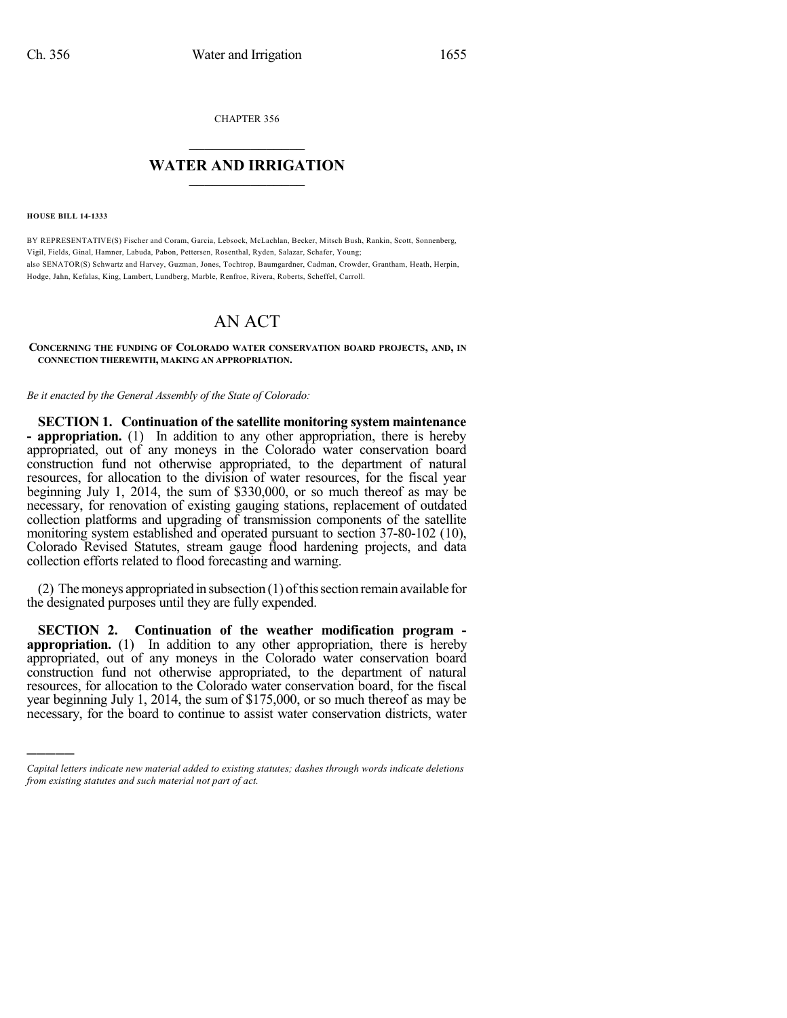CHAPTER 356

## $\overline{\phantom{a}}$  . The set of the set of the set of the set of the set of the set of the set of the set of the set of the set of the set of the set of the set of the set of the set of the set of the set of the set of the set o **WATER AND IRRIGATION**  $\_$   $\_$

**HOUSE BILL 14-1333**

)))))

BY REPRESENTATIVE(S) Fischer and Coram, Garcia, Lebsock, McLachlan, Becker, Mitsch Bush, Rankin, Scott, Sonnenberg, Vigil, Fields, Ginal, Hamner, Labuda, Pabon, Pettersen, Rosenthal, Ryden, Salazar, Schafer, Young; also SENATOR(S) Schwartz and Harvey, Guzman, Jones, Tochtrop, Baumgardner, Cadman, Crowder, Grantham, Heath, Herpin, Hodge, Jahn, Kefalas, King, Lambert, Lundberg, Marble, Renfroe, Rivera, Roberts, Scheffel, Carroll.

## AN ACT

## **CONCERNING THE FUNDING OF COLORADO WATER CONSERVATION BOARD PROJECTS, AND, IN CONNECTION THEREWITH, MAKING AN APPROPRIATION.**

*Be it enacted by the General Assembly of the State of Colorado:*

**SECTION 1. Continuation of the satellite monitoring system maintenance - appropriation.** (1) In addition to any other appropriation, there is hereby appropriated, out of any moneys in the Colorado water conservation board construction fund not otherwise appropriated, to the department of natural resources, for allocation to the division of water resources, for the fiscal year beginning July 1, 2014, the sum of \$330,000, or so much thereof as may be necessary, for renovation of existing gauging stations, replacement of outdated collection platforms and upgrading of transmission components of the satellite monitoring system established and operated pursuant to section 37-80-102 (10), Colorado Revised Statutes, stream gauge flood hardening projects, and data collection efforts related to flood forecasting and warning.

 $(2)$  The moneys appropriated in subsection  $(1)$  of this section remain available for the designated purposes until they are fully expended.

**SECTION 2. Continuation of the weather modification program appropriation.** (1) In addition to any other appropriation, there is hereby appropriated, out of any moneys in the Colorado water conservation board construction fund not otherwise appropriated, to the department of natural resources, for allocation to the Colorado water conservation board, for the fiscal year beginning July 1, 2014, the sum of \$175,000, or so much thereof as may be necessary, for the board to continue to assist water conservation districts, water

*Capital letters indicate new material added to existing statutes; dashes through words indicate deletions from existing statutes and such material not part of act.*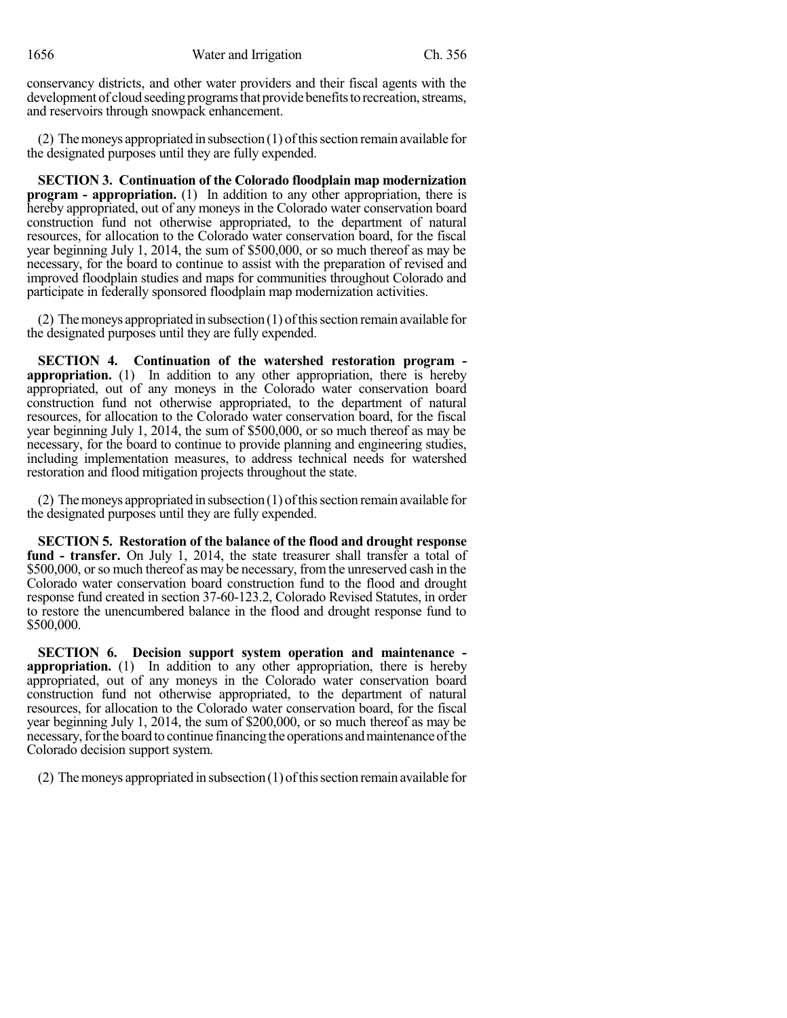1656 Water and Irrigation Ch. 356

conservancy districts, and other water providers and their fiscal agents with the development of cloud seeding programs that provide benefits to recreation, streams, and reservoirs through snowpack enhancement.

(2) The moneys appropriated in subsection  $(1)$  of this section remain available for the designated purposes until they are fully expended.

**SECTION 3. Continuation of the Colorado floodplain map modernization program - appropriation.** (1) In addition to any other appropriation, there is hereby appropriated, out of any moneys in the Colorado water conservation board construction fund not otherwise appropriated, to the department of natural resources, for allocation to the Colorado water conservation board, for the fiscal year beginning July 1, 2014, the sum of \$500,000, or so much thereof as may be necessary, for the board to continue to assist with the preparation of revised and improved floodplain studies and maps for communities throughout Colorado and participate in federally sponsored floodplain map modernization activities.

(2) The moneys appropriated in subsection  $(1)$  of this section remain available for the designated purposes until they are fully expended.

**SECTION 4. Continuation of the watershed restoration program appropriation.** (1) In addition to any other appropriation, there is hereby appropriated, out of any moneys in the Colorado water conservation board construction fund not otherwise appropriated, to the department of natural resources, for allocation to the Colorado water conservation board, for the fiscal year beginning July 1, 2014, the sum of \$500,000, or so much thereof as may be necessary, for the board to continue to provide planning and engineering studies, including implementation measures, to address technical needs for watershed restoration and flood mitigation projects throughout the state.

(2) The moneys appropriated in subsection  $(1)$  of this section remain available for the designated purposes until they are fully expended.

**SECTION 5. Restoration of the balance of the flood and drought response** fund - transfer. On July 1, 2014, the state treasurer shall transfer a total of \$500,000, or so much thereof as may be necessary, from the unreserved cash in the Colorado water conservation board construction fund to the flood and drought response fund created in section 37-60-123.2, Colorado Revised Statutes, in order to restore the unencumbered balance in the flood and drought response fund to \$500,000.

**SECTION 6. Decision support system operation and maintenance appropriation.** (1) In addition to any other appropriation, there is hereby appropriated, out of any moneys in the Colorado water conservation board construction fund not otherwise appropriated, to the department of natural resources, for allocation to the Colorado water conservation board, for the fiscal year beginning July 1, 2014, the sum of \$200,000, or so much thereof as may be necessary, for the board to continue financing the operations and maintenance of the Colorado decision support system.

(2) The moneys appropriated in subsection  $(1)$  of this section remain available for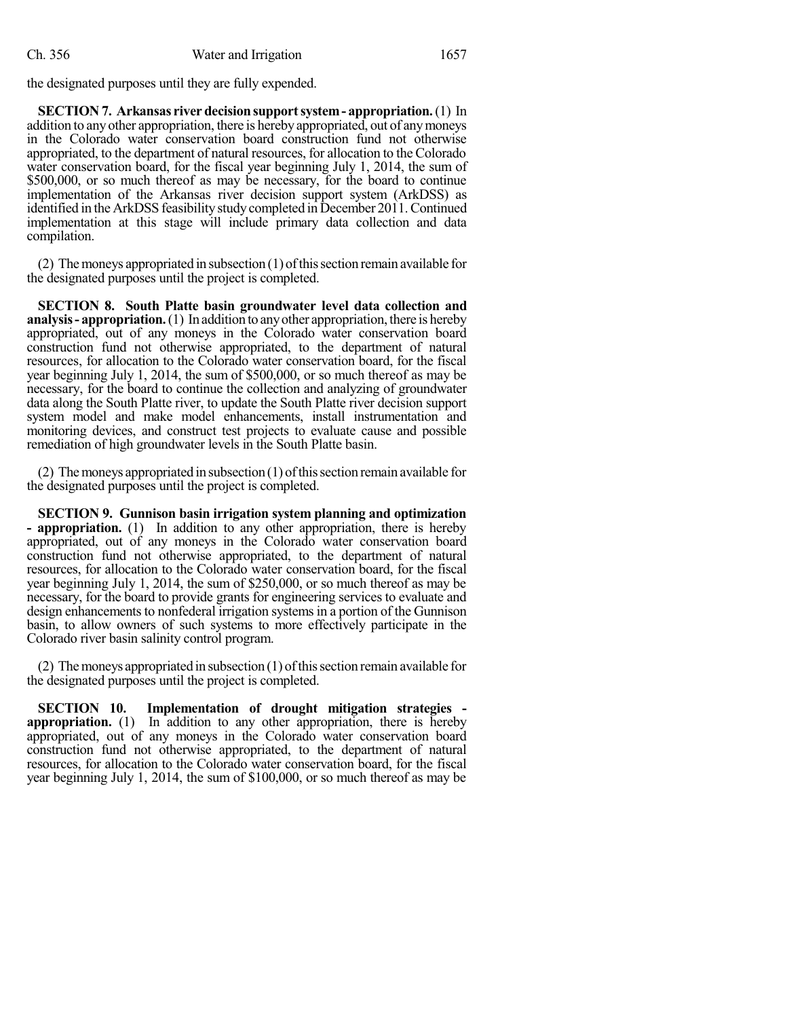the designated purposes until they are fully expended.

**SECTION 7. Arkansas river decisionsupportsystem- appropriation.**(1) In addition to any other appropriation, there is hereby appropriated, out of any moneys in the Colorado water conservation board construction fund not otherwise appropriated, to the department of natural resources, for allocation to the Colorado water conservation board, for the fiscal year beginning July 1, 2014, the sum of \$500,000, or so much thereof as may be necessary, for the board to continue implementation of the Arkansas river decision support system (ArkDSS) as identified in the ArkDSS feasibility study completed in December 2011. Continued implementation at this stage will include primary data collection and data compilation.

(2) The moneys appropriated in subsection  $(1)$  of this section remain available for the designated purposes until the project is completed.

**SECTION 8. South Platte basin groundwater level data collection and analysis- appropriation.**(1) In addition to anyother appropriation, there is hereby appropriated, out of any moneys in the Colorado water conservation board construction fund not otherwise appropriated, to the department of natural resources, for allocation to the Colorado water conservation board, for the fiscal year beginning July 1, 2014, the sum of \$500,000, or so much thereof as may be necessary, for the board to continue the collection and analyzing of groundwater data along the South Platte river, to update the South Platte river decision support system model and make model enhancements, install instrumentation and monitoring devices, and construct test projects to evaluate cause and possible remediation of high groundwater levels in the South Platte basin.

(2) The moneys appropriated in subsection  $(1)$  of this section remain available for the designated purposes until the project is completed.

**SECTION 9. Gunnison basin irrigation system planning and optimization - appropriation.** (1) In addition to any other appropriation, there is hereby appropriated, out of any moneys in the Colorado water conservation board construction fund not otherwise appropriated, to the department of natural resources, for allocation to the Colorado water conservation board, for the fiscal year beginning July 1, 2014, the sum of \$250,000, or so much thereof as may be necessary, for the board to provide grants for engineering services to evaluate and design enhancements to nonfederal irrigation systems in a portion of the Gunnison basin, to allow owners of such systems to more effectively participate in the Colorado river basin salinity control program.

(2) The moneys appropriated in subsection  $(1)$  of this section remain available for the designated purposes until the project is completed.

**SECTION 10. Implementation of drought mitigation strategies appropriation.** (1) In addition to any other appropriation, there is hereby appropriated, out of any moneys in the Colorado water conservation board construction fund not otherwise appropriated, to the department of natural resources, for allocation to the Colorado water conservation board, for the fiscal year beginning July 1, 2014, the sum of \$100,000, or so much thereof as may be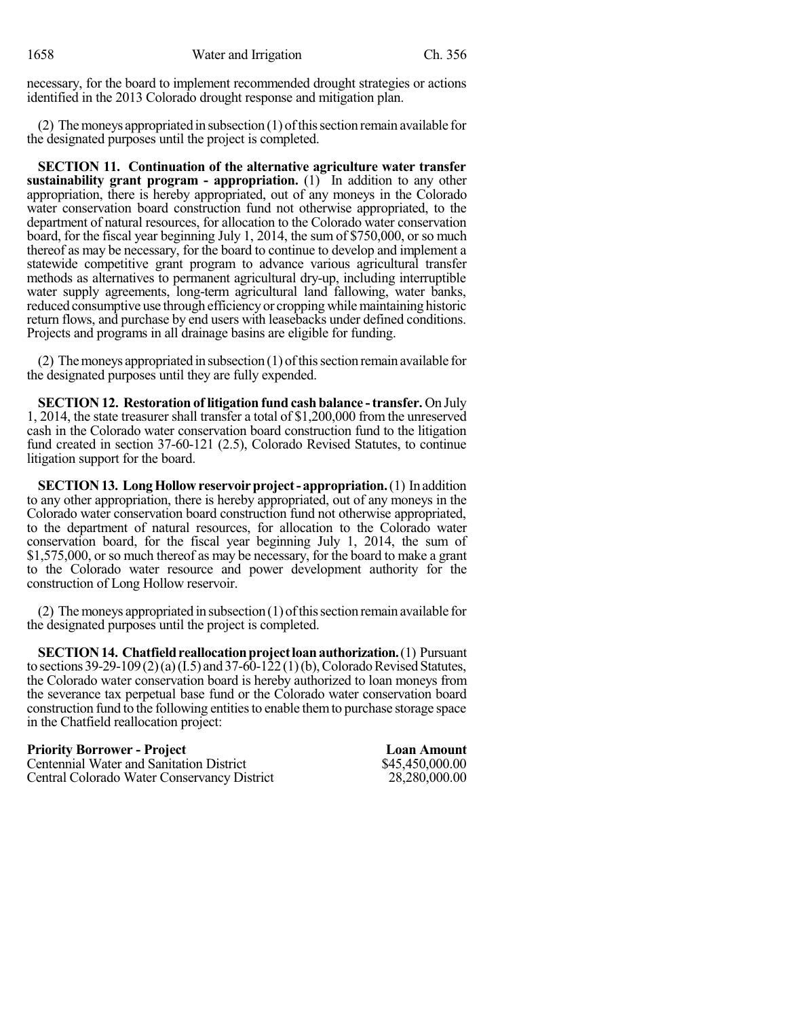necessary, for the board to implement recommended drought strategies or actions identified in the 2013 Colorado drought response and mitigation plan.

(2) The moneys appropriated in subsection  $(1)$  of this section remain available for the designated purposes until the project is completed.

**SECTION 11. Continuation of the alternative agriculture water transfer sustainability grant program - appropriation.** (1) In addition to any other appropriation, there is hereby appropriated, out of any moneys in the Colorado water conservation board construction fund not otherwise appropriated, to the department of natural resources, for allocation to the Colorado water conservation board, for the fiscal year beginning July 1, 2014, the sum of \$750,000, or so much thereof as may be necessary, for the board to continue to develop and implement a statewide competitive grant program to advance various agricultural transfer methods as alternatives to permanent agricultural dry-up, including interruptible water supply agreements, long-term agricultural land fallowing, water banks, reduced consumptive use through efficiency or cropping while maintaining historic return flows, and purchase by end users with leasebacks under defined conditions. Projects and programs in all drainage basins are eligible for funding.

(2) The moneys appropriated in subsection  $(1)$  of this section remain available for the designated purposes until they are fully expended.

**SECTION 12. Restoration of litigation fund cashbalance -transfer.** On July 1, 2014, the state treasurer shall transfer a total of \$1,200,000 from the unreserved cash in the Colorado water conservation board construction fund to the litigation fund created in section 37-60-121 (2.5), Colorado Revised Statutes, to continue litigation support for the board.

**SECTION 13. Long Hollow reservoir project - appropriation.** (1) In addition to any other appropriation, there is hereby appropriated, out of any moneys in the Colorado water conservation board construction fund not otherwise appropriated, to the department of natural resources, for allocation to the Colorado water conservation board, for the fiscal year beginning July 1, 2014, the sum of \$1,575,000, or so much thereof as may be necessary, for the board to make a grant to the Colorado water resource and power development authority for the construction of Long Hollow reservoir.

(2) The moneys appropriated in subsection  $(1)$  of this section remain available for the designated purposes until the project is completed.

**SECTION 14. Chatfield reallocation project loan authorization.** (1) Pursuant to sections  $39-29-109(2)(a)(I.5)$  and  $37-60-122(1)(b)$ , Colorado Revised Statutes, the Colorado water conservation board is hereby authorized to loan moneys from the severance tax perpetual base fund or the Colorado water conservation board construction fund to the following entitiesto enable themto purchase storage space in the Chatfield reallocation project:

| <b>Priority Borrower - Project</b>              | <b>Loan Amount</b> |
|-------------------------------------------------|--------------------|
| <b>Centennial Water and Sanitation District</b> | \$45,450,000.00    |
| Central Colorado Water Conservancy District     | 28,280,000.00      |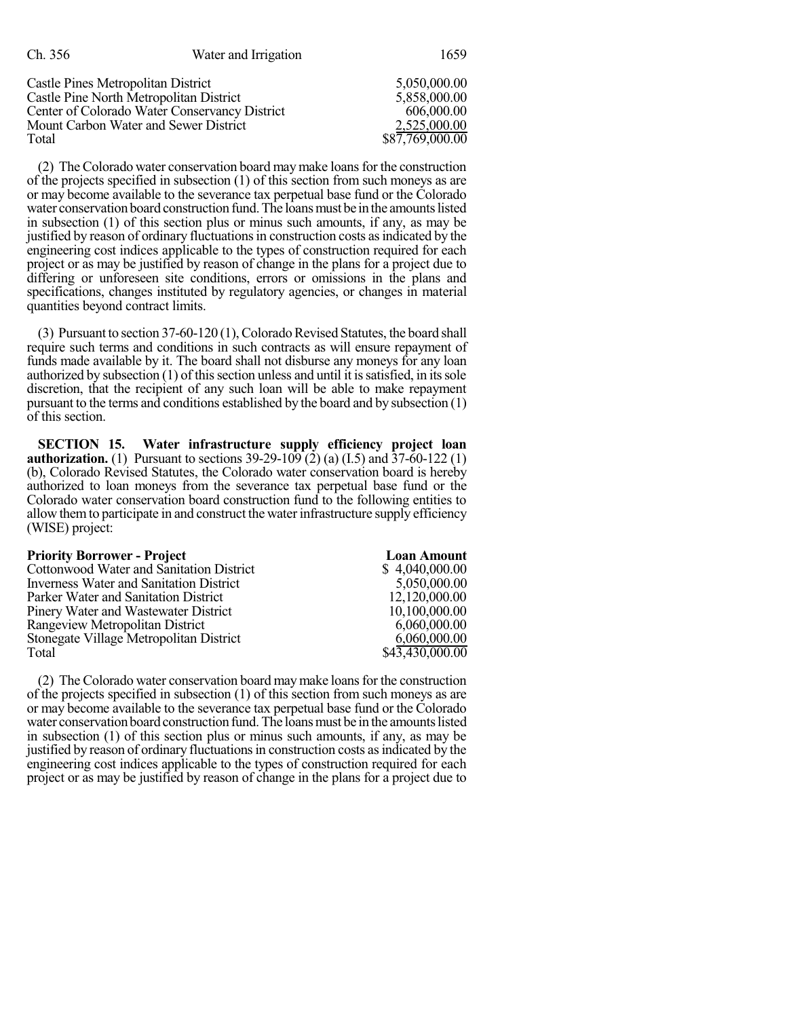| Ch. 356                                       | Water and Irrigation | 1659            |
|-----------------------------------------------|----------------------|-----------------|
| Castle Pines Metropolitan District            |                      | 5,050,000.00    |
| Castle Pine North Metropolitan District       |                      | 5,858,000.00    |
| Center of Colorado Water Conservancy District |                      | 606,000.00      |
| Mount Carbon Water and Sewer District         |                      | 2,525,000.00    |
| Total                                         |                      | \$87,769,000.00 |

(2) The Colorado water conservation board may make loans for the construction of the projects specified in subsection (1) of this section from such moneys as are or may become available to the severance tax perpetual base fund or the Colorado water conservation board construction fund. The loans must be in the amounts listed in subsection (1) of this section plus or minus such amounts, if any, as may be justified by reason of ordinary fluctuationsin construction costs asindicated by the engineering cost indices applicable to the types of construction required for each project or as may be justified by reason of change in the plans for a project due to differing or unforeseen site conditions, errors or omissions in the plans and specifications, changes instituted by regulatory agencies, or changes in material quantities beyond contract limits.

(3) Pursuant to section  $37-60-120(1)$ , Colorado Revised Statutes, the board shall require such terms and conditions in such contracts as will ensure repayment of funds made available by it. The board shall not disburse any moneys for any loan authorized by subsection  $(1)$  of this section unless and until it is satisfied, in its sole discretion, that the recipient of any such loan will be able to make repayment pursuant to the terms and conditions established by the board and by subsection (1) of this section.

**SECTION 15. Water infrastructure supply efficiency project loan authorization.** (1) Pursuant to sections  $39-29-109(2)$  (a) (I.5) and  $37-60-122$  (1) (b), Colorado Revised Statutes, the Colorado water conservation board is hereby authorized to loan moneys from the severance tax perpetual base fund or the Colorado water conservation board construction fund to the following entities to allow themto participate in and construct the water infrastructure supply efficiency (WISE) project:

| <b>Priority Borrower - Project</b>       | <b>Loan Amount</b> |
|------------------------------------------|--------------------|
| Cottonwood Water and Sanitation District | \$4,040,000.00     |
| Inverness Water and Sanitation District  | 5,050,000.00       |
| Parker Water and Sanitation District     | 12,120,000.00      |
| Pinery Water and Wastewater District     | 10,100,000.00      |
| Rangeview Metropolitan District          | 6,060,000.00       |
| Stonegate Village Metropolitan District  | 6,060,000.00       |
| Total                                    | \$43,430,000.00    |

(2) The Colorado water conservation board maymake loansfor the construction of the projects specified in subsection (1) of this section from such moneys as are or may become available to the severance tax perpetual base fund or the Colorado water conservation board construction fund. The loans must be in the amounts listed in subsection (1) of this section plus or minus such amounts, if any, as may be justified by reason of ordinary fluctuations in construction costs as indicated by the engineering cost indices applicable to the types of construction required for each project or as may be justified by reason of change in the plans for a project due to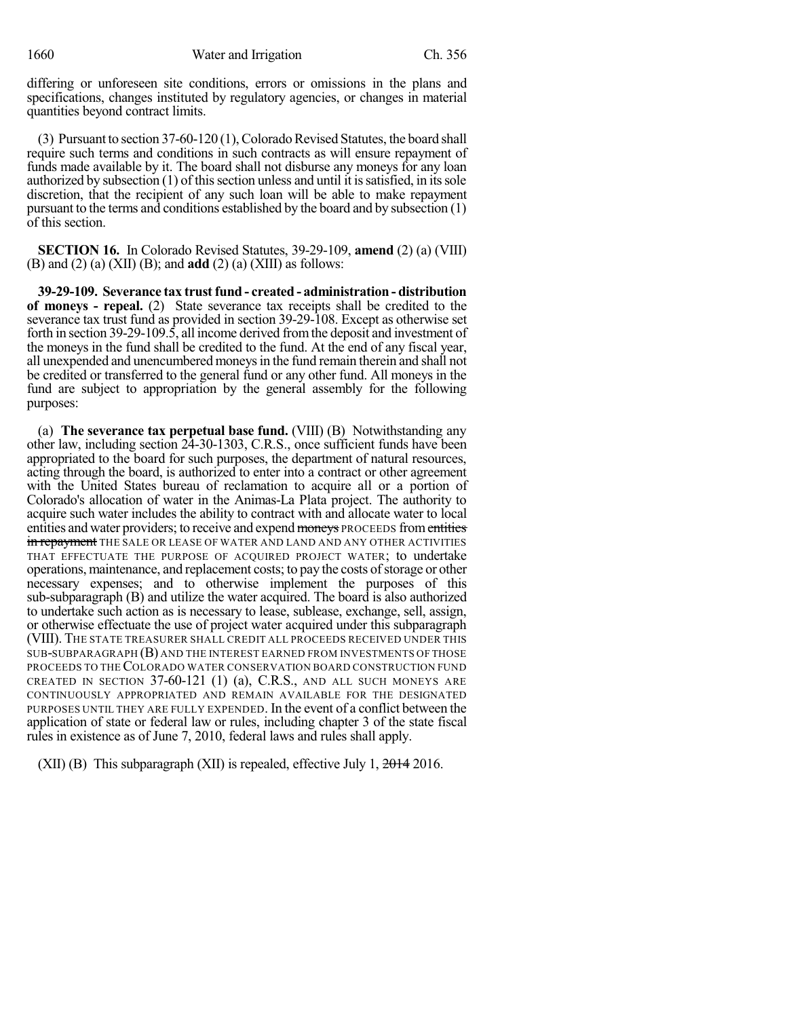differing or unforeseen site conditions, errors or omissions in the plans and specifications, changes instituted by regulatory agencies, or changes in material quantities beyond contract limits.

 $(3)$  Pursuant to section 37-60-120  $(1)$ , Colorado Revised Statutes, the board shall require such terms and conditions in such contracts as will ensure repayment of funds made available by it. The board shall not disburse any moneys for any loan authorized by subsection  $(1)$  of this section unless and until it is satisfied, in its sole discretion, that the recipient of any such loan will be able to make repayment pursuant to the terms and conditions established by the board and by subsection (1) of this section.

**SECTION 16.** In Colorado Revised Statutes, 39-29-109, **amend** (2) (a) (VIII) (B) and (2) (a) (XII) (B); and **add** (2) (a) (XIII) as follows:

**39-29-109. Severance tax trust fund - created - administration - distribution of moneys - repeal.** (2) State severance tax receipts shall be credited to the severance tax trust fund as provided in section 39-29-108. Except as otherwise set forth in section 39-29-109.5, all income derived fromthe deposit and investment of the moneys in the fund shall be credited to the fund. At the end of any fiscal year, all unexpended and unencumbered moneysin the fund remain therein and shall not be credited or transferred to the general fund or any other fund. All moneys in the fund are subject to appropriation by the general assembly for the following purposes:

(a) **The severance tax perpetual base fund.** (VIII) (B) Notwithstanding any other law, including section 24-30-1303, C.R.S., once sufficient funds have been appropriated to the board for such purposes, the department of natural resources, acting through the board, is authorized to enter into a contract or other agreement with the United States bureau of reclamation to acquire all or a portion of Colorado's allocation of water in the Animas-La Plata project. The authority to acquire such water includes the ability to contract with and allocate water to local entities and water providers; to receive and expend moneys PROCEEDS from entities in repayment THE SALE OR LEASE OF WATER AND LAND AND ANY OTHER ACTIVITIES THAT EFFECTUATE THE PURPOSE OF ACQUIRED PROJECT WATER; to undertake operations, maintenance, and replacement costs; to pay the costs ofstorage or other necessary expenses; and to otherwise implement the purposes of this sub-subparagraph (B) and utilize the water acquired. The board is also authorized to undertake such action as is necessary to lease, sublease, exchange, sell, assign, or otherwise effectuate the use of project water acquired under this subparagraph (VIII). THE STATE TREASURER SHALL CREDIT ALL PROCEEDS RECEIVED UNDER THIS SUB-SUBPARAGRAPH (B) AND THE INTEREST EARNED FROM INVESTMENTS OF THOSE PROCEEDS TO THE COLORADO WATER CONSERVATION BOARD CONSTRUCTION FUND CREATED IN SECTION 37-60-121 (1) (a), C.R.S., AND ALL SUCH MONEYS ARE CONTINUOUSLY APPROPRIATED AND REMAIN AVAILABLE FOR THE DESIGNATED PURPOSES UNTIL THEY ARE FULLY EXPENDED. In the event of a conflict between the application of state or federal law or rules, including chapter 3 of the state fiscal rules in existence as of June 7, 2010, federal laws and rules shall apply.

(XII) (B) This subparagraph (XII) is repealed, effective July 1,  $2014$  2016.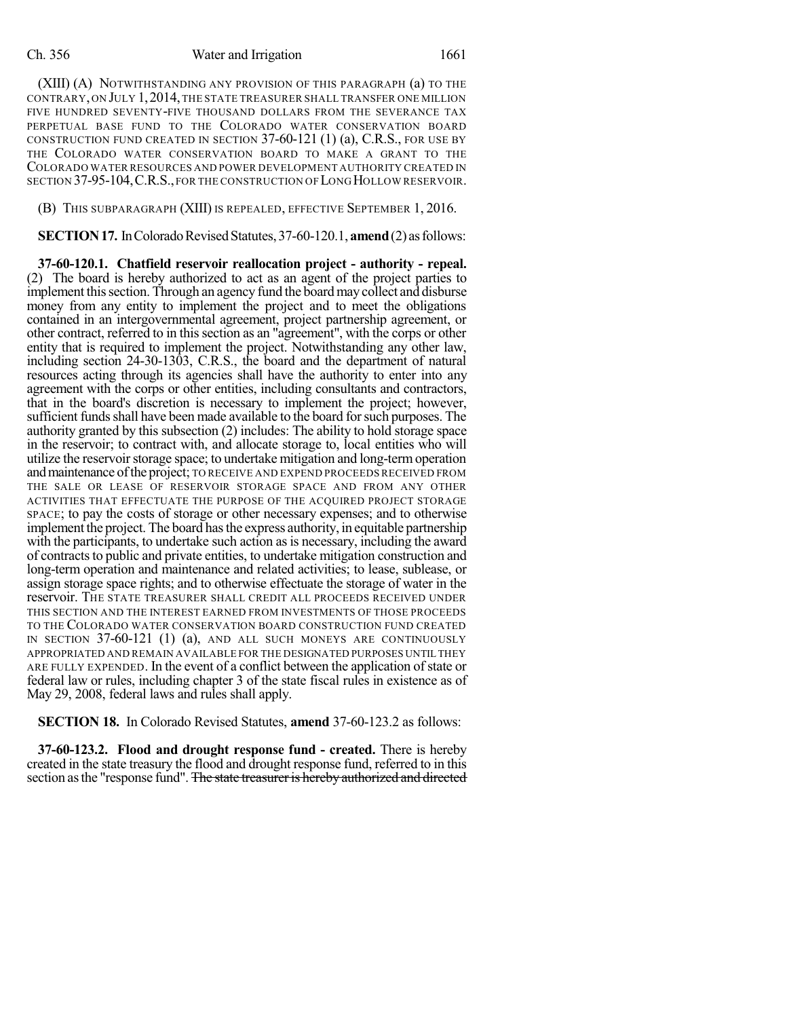## Ch. 356 Water and Irrigation 1661

(XIII) (A) NOTWITHSTANDING ANY PROVISION OF THIS PARAGRAPH (a) TO THE CONTRARY, ON JULY 1,2014,THE STATE TREASURER SHALL TRANSFER ONE MILLION FIVE HUNDRED SEVENTY-FIVE THOUSAND DOLLARS FROM THE SEVERANCE TAX PERPETUAL BASE FUND TO THE COLORADO WATER CONSERVATION BOARD CONSTRUCTION FUND CREATED IN SECTION 37-60-121 (1) (a), C.R.S., FOR USE BY THE COLORADO WATER CONSERVATION BOARD TO MAKE A GRANT TO THE COLORADO WATER RESOURCES AND POWER DEVELOPMENT AUTHORITY CREATED IN SECTION 37-95-104, C.R.S., FOR THE CONSTRUCTION OF LONG HOLLOW RESERVOIR.

(B) THIS SUBPARAGRAPH (XIII) IS REPEALED, EFFECTIVE SEPTEMBER 1, 2016.

**SECTION 17.** In Colorado Revised Statutes, 37-60-120.1, **amend** (2) as follows:

**37-60-120.1. Chatfield reservoir reallocation project - authority - repeal.** (2) The board is hereby authorized to act as an agent of the project parties to implement this section. Through an agency fund the board may collect and disburse money from any entity to implement the project and to meet the obligations contained in an intergovernmental agreement, project partnership agreement, or other contract, referred to in thissection as an "agreement", with the corps or other entity that is required to implement the project. Notwithstanding any other law, including section 24-30-1303, C.R.S., the board and the department of natural resources acting through its agencies shall have the authority to enter into any agreement with the corps or other entities, including consultants and contractors, that in the board's discretion is necessary to implement the project; however, sufficient funds shall have been made available to the board for such purposes. The authority granted by this subsection (2) includes: The ability to hold storage space in the reservoir; to contract with, and allocate storage to, local entities who will utilize the reservoir storage space; to undertake mitigation and long-term operation andmaintenance ofthe project; TO RECEIVE AND EXPEND PROCEEDS RECEIVED FROM THE SALE OR LEASE OF RESERVOIR STORAGE SPACE AND FROM ANY OTHER ACTIVITIES THAT EFFECTUATE THE PURPOSE OF THE ACQUIRED PROJECT STORAGE SPACE; to pay the costs of storage or other necessary expenses; and to otherwise implement the project. The board has the express authority, in equitable partnership with the participants, to undertake such action as is necessary, including the award of contractsto public and private entities, to undertake mitigation construction and long-term operation and maintenance and related activities; to lease, sublease, or assign storage space rights; and to otherwise effectuate the storage of water in the reservoir. THE STATE TREASURER SHALL CREDIT ALL PROCEEDS RECEIVED UNDER THIS SECTION AND THE INTEREST EARNED FROM INVESTMENTS OF THOSE PROCEEDS TO THE COLORADO WATER CONSERVATION BOARD CONSTRUCTION FUND CREATED IN SECTION 37-60-121 (1) (a), AND ALL SUCH MONEYS ARE CONTINUOUSLY APPROPRIATED AND REMAIN AVAILABLE FOR THE DESIGNATED PURPOSES UNTIL THEY ARE FULLY EXPENDED. In the event of a conflict between the application of state or federal law or rules, including chapter 3 of the state fiscal rules in existence as of May 29, 2008, federal laws and rules shall apply.

**SECTION 18.** In Colorado Revised Statutes, **amend** 37-60-123.2 as follows:

**37-60-123.2. Flood and drought response fund - created.** There is hereby created in the state treasury the flood and drought response fund, referred to in this section as the "response fund". The state treasurer is hereby authorized and directed